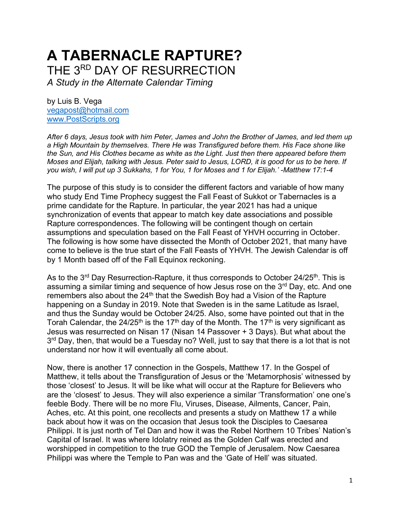# **A TABERNACLE RAPTURE?** THE 3RD DAY OF RESURRECTION

*A Study in the Alternate Calendar Timing* 

by Luis B. Vega [vegapost@hotmail.com](mailto:vegapost@hotmail.com) [www.PostScripts.org](http://www.postscripts.org/)

*After 6 days, Jesus took with him Peter, James and John the Brother of James, and led them up a High Mountain by themselves. There He was Transfigured before them. His Face shone like the Sun, and His Clothes became as white as the Light. Just then there appeared before them Moses and Elijah, talking with Jesus. Peter said to Jesus, LORD, it is good for us to be here. If you wish, I will put up 3 Sukkahs, 1 for You, 1 for Moses and 1 for Elijah.' -Matthew 17:1-4*

The purpose of this study is to consider the different factors and variable of how many who study End Time Prophecy suggest the Fall Feast of Sukkot or Tabernacles is a prime candidate for the Rapture. In particular, the year 2021 has had a unique synchronization of events that appear to match key date associations and possible Rapture correspondences. The following will be contingent though on certain assumptions and speculation based on the Fall Feast of YHVH occurring in October. The following is how some have dissected the Month of October 2021, that many have come to believe is the true start of the Fall Feasts of YHVH. The Jewish Calendar is off by 1 Month based off of the Fall Equinox reckoning.

As to the 3<sup>rd</sup> Day Resurrection-Rapture, it thus corresponds to October 24/25<sup>th</sup>. This is assuming a similar timing and sequence of how Jesus rose on the  $3<sup>rd</sup>$  Day, etc. And one remembers also about the  $24<sup>th</sup>$  that the Swedish Boy had a Vision of the Rapture happening on a Sunday in 2019. Note that Sweden is in the same Latitude as Israel, and thus the Sunday would be October 24/25. Also, some have pointed out that in the Torah Calendar, the 24/25<sup>th</sup> is the 17<sup>th</sup> day of the Month. The 17<sup>th</sup> is very significant as Jesus was resurrected on Nisan 17 (Nisan 14 Passover + 3 Days). But what about the 3<sup>rd</sup> Day, then, that would be a Tuesday no? Well, just to say that there is a lot that is not understand nor how it will eventually all come about.

Now, there is another 17 connection in the Gospels, Matthew 17. In the Gospel of Matthew, it tells about the Transfiguration of Jesus or the 'Metamorphosis' witnessed by those 'closest' to Jesus. It will be like what will occur at the Rapture for Believers who are the 'closest' to Jesus. They will also experience a similar 'Transformation' one one's feeble Body. There will be no more Flu, Viruses, Disease, Ailments, Cancer, Pain, Aches, etc. At this point, one recollects and presents a study on Matthew 17 a while back about how it was on the occasion that Jesus took the Disciples to Caesarea Philippi. It is just north of Tel Dan and how it was the Rebel Northern 10 Tribes' Nation's Capital of Israel. It was where Idolatry reined as the Golden Calf was erected and worshipped in competition to the true GOD the Temple of Jerusalem. Now Caesarea Philippi was where the Temple to Pan was and the 'Gate of Hell' was situated.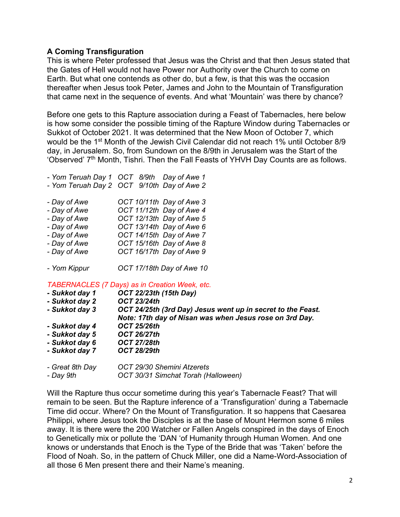### **A Coming Transfiguration**

This is where Peter professed that Jesus was the Christ and that then Jesus stated that the Gates of Hell would not have Power nor Authority over the Church to come on Earth. But what one contends as other do, but a few, is that this was the occasion thereafter when Jesus took Peter, James and John to the Mountain of Transfiguration that came next in the sequence of events. And what 'Mountain' was there by chance?

Before one gets to this Rapture association during a Feast of Tabernacles, here below is how some consider the possible timing of the Rapture Window during Tabernacles or Sukkot of October 2021. It was determined that the New Moon of October 7, which would be the 1st Month of the Jewish Civil Calendar did not reach 1% until October 8/9 day, in Jerusalem. So, from Sundown on the 8/9th in Jerusalem was the Start of the 'Observed' 7<sup>th</sup> Month, Tishri. Then the Fall Feasts of YHVH Day Counts are as follows.

|              | - Yom Teruah Day 1 OCT 8/9th Day of Awe 1  |
|--------------|--------------------------------------------|
|              | - Yom Teruah Day 2 OCT 9/10th Day of Awe 2 |
| - Day of Awe | OCT 10/11th Day of Awe 3                   |
| - Day of Awe | OCT 11/12th Day of Awe 4                   |
| - Day of Awe | OCT 12/13th Day of Awe 5                   |
| - Day of Awe | OCT 13/14th Day of Awe 6                   |
| - Day of Awe | OCT 14/15th Day of Awe 7                   |
| - Day of Awe | OCT 15/16th Day of Awe 8                   |
| - Day of Awe | OCT 16/17th Day of Awe 9                   |
| - Yom Kippur | OCT 17/18th Day of Awe 10                  |

*TABERNACLES (7 Days) as in Creation Week, etc.*

| - Sukkot day 1  | <b>OCT 22/23th (15th Day)</b>                                                                                          |
|-----------------|------------------------------------------------------------------------------------------------------------------------|
| - Sukkot day 2  | <b>OCT 23/24th</b>                                                                                                     |
| - Sukkot day 3  | OCT 24/25th (3rd Day) Jesus went up in secret to the Feast.<br>Note: 17th day of Nisan was when Jesus rose on 3rd Day. |
| - Sukkot day 4  | <b>OCT 25/26th</b>                                                                                                     |
| - Sukkot day 5  | <b>OCT 26/27th</b>                                                                                                     |
| - Sukkot day 6  | <b>OCT 27/28th</b>                                                                                                     |
| - Sukkot day 7  | <b>OCT 28/29th</b>                                                                                                     |
| - Great 8th Day | OCT 29/30 Shemini Atzerets                                                                                             |

*- Day 9th OCT 30/31 Simchat Torah (Halloween)*

Will the Rapture thus occur sometime during this year's Tabernacle Feast? That will remain to be seen. But the Rapture inference of a 'Transfiguration' during a Tabernacle Time did occur. Where? On the Mount of Transfiguration. It so happens that Caesarea Philippi, where Jesus took the Disciples is at the base of Mount Hermon some 6 miles away. It is there were the 200 Watcher or Fallen Angels conspired in the days of Enoch to Genetically mix or pollute the 'DAN 'of Humanity through Human Women. And one knows or understands that Enoch is the Type of the Bride that was 'Taken' before the Flood of Noah. So, in the pattern of Chuck Miller, one did a Name-Word-Association of all those 6 Men present there and their Name's meaning.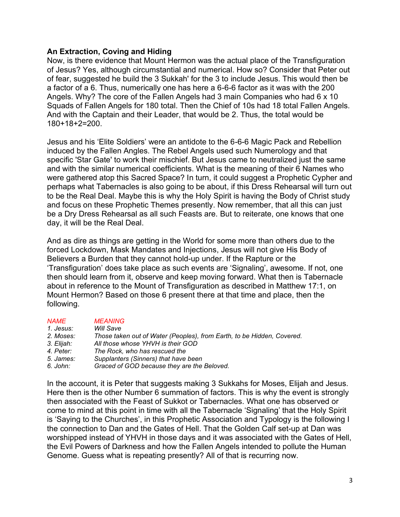### **An Extraction, Coving and Hiding**

Now, is there evidence that Mount Hermon was the actual place of the Transfiguration of Jesus? Yes, although circumstantial and numerical. How so? Consider that Peter out of fear, suggested he build the 3 Sukkah' for the 3 to include Jesus. This would then be a factor of a 6. Thus, numerically one has here a 6-6-6 factor as it was with the 200 Angels. Why? The core of the Fallen Angels had 3 main Companies who had 6 x 10 Squads of Fallen Angels for 180 total. Then the Chief of 10s had 18 total Fallen Angels. And with the Captain and their Leader, that would be 2. Thus, the total would be 180+18+2=200.

Jesus and his 'Elite Soldiers' were an antidote to the 6-6-6 Magic Pack and Rebellion induced by the Fallen Angles. The Rebel Angels used such Numerology and that specific 'Star Gate' to work their mischief. But Jesus came to neutralized just the same and with the similar numerical coefficients. What is the meaning of their 6 Names who were gathered atop this Sacred Space? In turn, it could suggest a Prophetic Cypher and perhaps what Tabernacles is also going to be about, if this Dress Rehearsal will turn out to be the Real Deal. Maybe this is why the Holy Spirit is having the Body of Christ study and focus on these Prophetic Themes presently. Now remember, that all this can just be a Dry Dress Rehearsal as all such Feasts are. But to reiterate, one knows that one day, it will be the Real Deal.

And as dire as things are getting in the World for some more than others due to the forced Lockdown, Mask Mandates and Injections, Jesus will not give His Body of Believers a Burden that they cannot hold-up under. If the Rapture or the 'Transfiguration' does take place as such events are 'Signaling', awesome. If not, one then should learn from it, observe and keep moving forward. What then is Tabernacle about in reference to the Mount of Transfiguration as described in Matthew 17:1, on Mount Hermon? Based on those 6 present there at that time and place, then the following.

| <b>NAME</b> | <b>MEANING</b>                                                         |
|-------------|------------------------------------------------------------------------|
| 1. Jesus:   | Will Save                                                              |
| 2. Moses:   | Those taken out of Water (Peoples), from Earth, to be Hidden, Covered. |
| 3. Elijah:  | All those whose YHVH is their GOD                                      |
| 4. Peter:   | The Rock, who has rescued the                                          |
| 5. James:   | Supplanters (Sinners) that have been                                   |
| 6. John:    | Graced of GOD because they are the Beloved.                            |

In the account, it is Peter that suggests making 3 Sukkahs for Moses, Elijah and Jesus. Here then is the other Number 6 summation of factors. This is why the event is strongly then associated with the Feast of Sukkot or Tabernacles. What one has observed or come to mind at this point in time with all the Tabernacle 'Signaling' that the Holy Spirit is 'Saying to the Churches', in this Prophetic Association and Typology is the following I the connection to Dan and the Gates of Hell. That the Golden Calf set-up at Dan was worshipped instead of YHVH in those days and it was associated with the Gates of Hell, the Evil Powers of Darkness and how the Fallen Angels intended to pollute the Human Genome. Guess what is repeating presently? All of that is recurring now.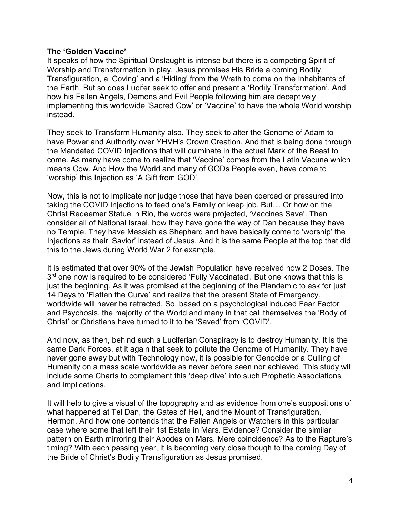#### **The 'Golden Vaccine'**

It speaks of how the Spiritual Onslaught is intense but there is a competing Spirit of Worship and Transformation in play. Jesus promises His Bride a coming Bodily Transfiguration, a 'Coving' and a 'Hiding' from the Wrath to come on the Inhabitants of the Earth. But so does Lucifer seek to offer and present a 'Bodily Transformation'. And how his Fallen Angels, Demons and Evil People following him are deceptively implementing this worldwide 'Sacred Cow' or 'Vaccine' to have the whole World worship instead.

They seek to Transform Humanity also. They seek to alter the Genome of Adam to have Power and Authority over YHVH's Crown Creation. And that is being done through the Mandated COVID Injections that will culminate in the actual Mark of the Beast to come. As many have come to realize that 'Vaccine' comes from the Latin Vacuna which means Cow. And How the World and many of GODs People even, have come to 'worship' this Injection as 'A Gift from GOD'.

Now, this is not to implicate nor judge those that have been coerced or pressured into taking the COVID Injections to feed one's Family or keep job. But… Or how on the Christ Redeemer Statue in Rio, the words were projected, 'Vaccines Save'. Then consider all of National Israel, how they have gone the way of Dan because they have no Temple. They have Messiah as Shephard and have basically come to 'worship' the Injections as their 'Savior' instead of Jesus. And it is the same People at the top that did this to the Jews during World War 2 for example.

It is estimated that over 90% of the Jewish Population have received now 2 Doses. The 3<sup>rd</sup> one now is required to be considered 'Fully Vaccinated'. But one knows that this is just the beginning. As it was promised at the beginning of the Plandemic to ask for just 14 Days to 'Flatten the Curve' and realize that the present State of Emergency, worldwide will never be retracted. So, based on a psychological induced Fear Factor and Psychosis, the majority of the World and many in that call themselves the 'Body of Christ' or Christians have turned to it to be 'Saved' from 'COVID'.

And now, as then, behind such a Luciferian Conspiracy is to destroy Humanity. It is the same Dark Forces, at it again that seek to pollute the Genome of Humanity. They have never gone away but with Technology now, it is possible for Genocide or a Culling of Humanity on a mass scale worldwide as never before seen nor achieved. This study will include some Charts to complement this 'deep dive' into such Prophetic Associations and Implications.

It will help to give a visual of the topography and as evidence from one's suppositions of what happened at Tel Dan, the Gates of Hell, and the Mount of Transfiguration, Hermon. And how one contends that the Fallen Angels or Watchers in this particular case where some that left their 1st Estate in Mars. Evidence? Consider the similar pattern on Earth mirroring their Abodes on Mars. Mere coincidence? As to the Rapture's timing? With each passing year, it is becoming very close though to the coming Day of the Bride of Christ's Bodily Transfiguration as Jesus promised.